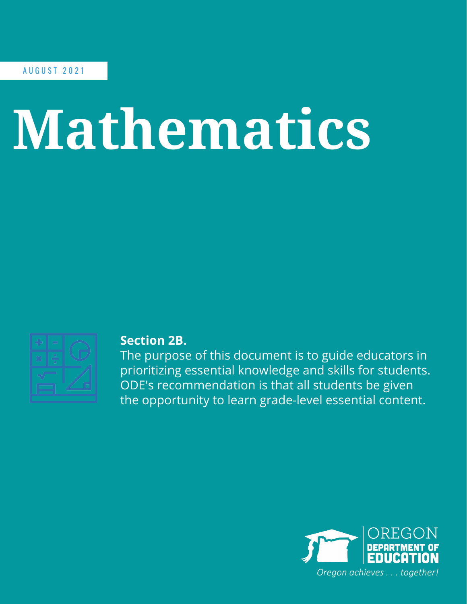A U G U S T 2 0 2 1

## **Mathematics**



## **Section 2B.**

The purpose of this document is to guide educators in prioritizing essential knowledge and skills for students. ODE's recommendation is that all students be given the opportunity to learn grade-level essential content.

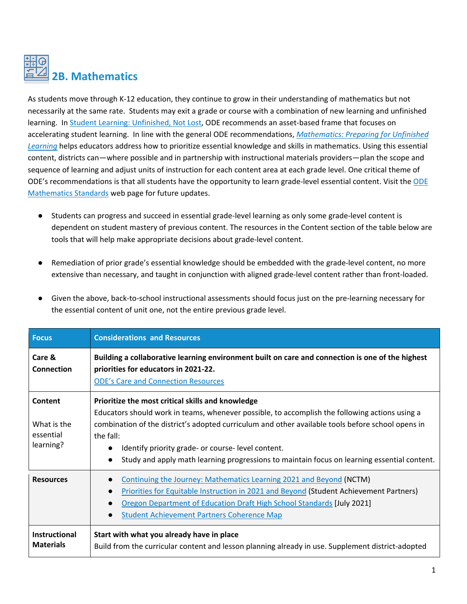## **2B. Mathematics**

As students move through K-12 education, they continue to grow in their understanding of mathematics but not necessarily at the same rate. Students may exit a grade or course with a combination of new learning and unfinished learning. I[n Student Learning: Unfinished, Not Lost,](https://www.oregon.gov/ode/students-and-family/healthsafety/Documents/Student%20Learning%20Unfinished%2C%20Not%20Lost.pdf) ODE recommends an asset-based frame that focuses on accelerating student learning. In line with the general ODE recommendations, *[Mathematics: Preparing for Unfinished](https://www.oregon.gov/ode/educator-resources/standards/Documents/CDL%20Digital%20Toolkit/ODE%202021-22%20Math%20Planning%20Summary%20v1.0.pdf)  [Learning](https://www.oregon.gov/ode/educator-resources/standards/Documents/CDL%20Digital%20Toolkit/ODE%202021-22%20Math%20Planning%20Summary%20v1.0.pdf)* helps educators address how to prioritize essential knowledge and skills in mathematics. Using this essential content, districts can—where possible and in partnership with instructional materials providers—plan the scope and sequence of learning and adjust units of instruction for each content area at each grade level. One critical theme of ODE's recommendations is that all students have the opportunity to learn grade-level essential content. Visit the [ODE](https://www.oregon.gov/ode/educator-resources/standards/mathematics/Pages/default.aspx)  [Mathematics Standards](https://www.oregon.gov/ode/educator-resources/standards/mathematics/Pages/default.aspx) web page for future updates.

- Students can progress and succeed in essential grade-level learning as only some grade-level content is dependent on student mastery of previous content. The resources in the Content section of the table below are tools that will help make appropriate decisions about grade-level content.
- Remediation of prior grade's essential knowledge should be embedded with the grade-level content, no more extensive than necessary, and taught in conjunction with aligned grade-level content rather than front-loaded.

| <b>Focus</b>                                     | <b>Considerations and Resources</b>                                                                                                                                                                                                                                                                                                                                                                                       |
|--------------------------------------------------|---------------------------------------------------------------------------------------------------------------------------------------------------------------------------------------------------------------------------------------------------------------------------------------------------------------------------------------------------------------------------------------------------------------------------|
| Care &<br><b>Connection</b>                      | Building a collaborative learning environment built on care and connection is one of the highest<br>priorities for educators in 2021-22.<br><b>ODE's Care and Connection Resources</b>                                                                                                                                                                                                                                    |
| Content<br>What is the<br>essential<br>learning? | Prioritize the most critical skills and knowledge<br>Educators should work in teams, whenever possible, to accomplish the following actions using a<br>combination of the district's adopted curriculum and other available tools before school opens in<br>the fall:<br>Identify priority grade- or course-level content.<br>Study and apply math learning progressions to maintain focus on learning essential content. |
| <b>Resources</b>                                 | Continuing the Journey: Mathematics Learning 2021 and Beyond (NCTM)<br>Priorities for Equitable Instruction in 2021 and Beyond (Student Achievement Partners)<br>$\bullet$<br>Oregon Department of Education Draft High School Standards [July 2021]<br><b>Student Achievement Partners Coherence Map</b>                                                                                                                 |
| <b>Instructional</b><br><b>Materials</b>         | Start with what you already have in place<br>Build from the curricular content and lesson planning already in use. Supplement district-adopted                                                                                                                                                                                                                                                                            |

Given the above, back-to-school instructional assessments should focus just on the pre-learning necessary for the essential content of unit one, not the entire previous grade level.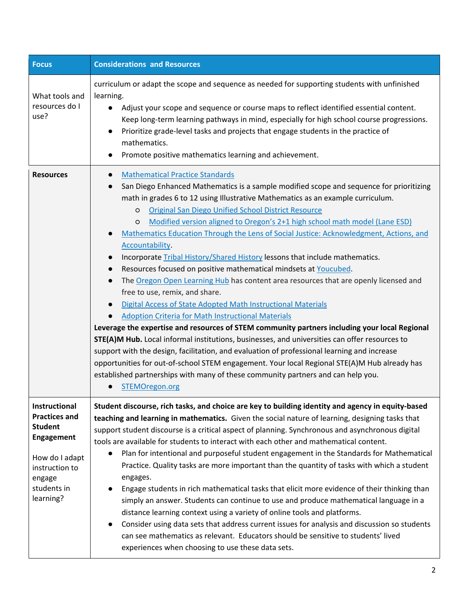| <b>Focus</b>                                                                                                                                    | <b>Considerations and Resources</b>                                                                                                                                                                                                                                                                                                                                                                                                                                                                                                                                                                                                                                                                                                                                                                                                                                                                                                                                                                                                                                                                                                                                                                                                                                                                                                                                                                           |
|-------------------------------------------------------------------------------------------------------------------------------------------------|---------------------------------------------------------------------------------------------------------------------------------------------------------------------------------------------------------------------------------------------------------------------------------------------------------------------------------------------------------------------------------------------------------------------------------------------------------------------------------------------------------------------------------------------------------------------------------------------------------------------------------------------------------------------------------------------------------------------------------------------------------------------------------------------------------------------------------------------------------------------------------------------------------------------------------------------------------------------------------------------------------------------------------------------------------------------------------------------------------------------------------------------------------------------------------------------------------------------------------------------------------------------------------------------------------------------------------------------------------------------------------------------------------------|
| What tools and<br>resources do I<br>use?                                                                                                        | curriculum or adapt the scope and sequence as needed for supporting students with unfinished<br>learning.<br>Adjust your scope and sequence or course maps to reflect identified essential content.<br>Keep long-term learning pathways in mind, especially for high school course progressions.<br>Prioritize grade-level tasks and projects that engage students in the practice of<br>mathematics.<br>Promote positive mathematics learning and achievement.                                                                                                                                                                                                                                                                                                                                                                                                                                                                                                                                                                                                                                                                                                                                                                                                                                                                                                                                               |
| <b>Resources</b>                                                                                                                                | <b>Mathematical Practice Standards</b><br>San Diego Enhanced Mathematics is a sample modified scope and sequence for prioritizing<br>math in grades 6 to 12 using Illustrative Mathematics as an example curriculum.<br><b>Original San Diego Unified School District Resource</b><br>$\circ$<br>Modified version aligned to Oregon's 2+1 high school math model (Lane ESD)<br>$\circ$<br>Mathematics Education Through the Lens of Social Justice: Acknowledgment, Actions, and<br>Accountability.<br>Incorporate Tribal History/Shared History lessons that include mathematics.<br>Resources focused on positive mathematical mindsets at Youcubed.<br>The Oregon Open Learning Hub has content area resources that are openly licensed and<br>free to use, remix, and share.<br>Digital Access of State Adopted Math Instructional Materials<br>Adoption Criteria for Math Instructional Materials<br>Leverage the expertise and resources of STEM community partners including your local Regional<br>STE(A)M Hub. Local informal institutions, businesses, and universities can offer resources to<br>support with the design, facilitation, and evaluation of professional learning and increase<br>opportunities for out-of-school STEM engagement. Your local Regional STE(A)M Hub already has<br>established partnerships with many of these community partners and can help you.<br>STEMOregon.org |
| Instructional<br><b>Practices and</b><br><b>Student</b><br>Engagement<br>How do I adapt<br>instruction to<br>engage<br>students in<br>learning? | Student discourse, rich tasks, and choice are key to building identity and agency in equity-based<br>teaching and learning in mathematics. Given the social nature of learning, designing tasks that<br>support student discourse is a critical aspect of planning. Synchronous and asynchronous digital<br>tools are available for students to interact with each other and mathematical content.<br>Plan for intentional and purposeful student engagement in the Standards for Mathematical<br>Practice. Quality tasks are more important than the quantity of tasks with which a student<br>engages.<br>Engage students in rich mathematical tasks that elicit more evidence of their thinking than<br>simply an answer. Students can continue to use and produce mathematical language in a<br>distance learning context using a variety of online tools and platforms.<br>Consider using data sets that address current issues for analysis and discussion so students<br>can see mathematics as relevant. Educators should be sensitive to students' lived<br>experiences when choosing to use these data sets.                                                                                                                                                                                                                                                                                        |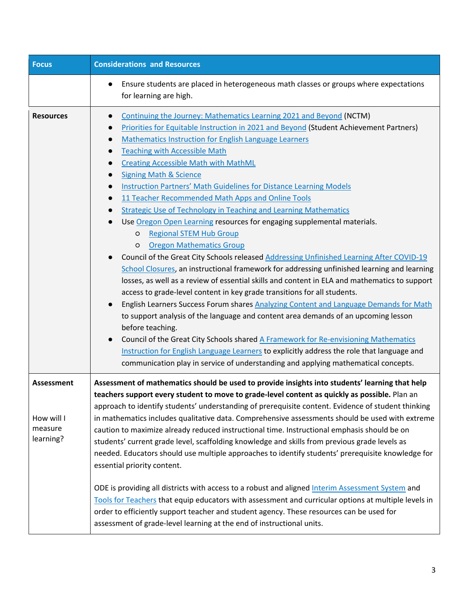| <b>Focus</b>                                            | <b>Considerations and Resources</b>                                                                                                                                                                                                                                                                                                                                                                                                                                                                                                                                                                                                                                                                                                                                                                                                                                                                                                                                                                                                                                                                                                                                                                                                                                                                                                                                                                                                                                                                                                                                                                |
|---------------------------------------------------------|----------------------------------------------------------------------------------------------------------------------------------------------------------------------------------------------------------------------------------------------------------------------------------------------------------------------------------------------------------------------------------------------------------------------------------------------------------------------------------------------------------------------------------------------------------------------------------------------------------------------------------------------------------------------------------------------------------------------------------------------------------------------------------------------------------------------------------------------------------------------------------------------------------------------------------------------------------------------------------------------------------------------------------------------------------------------------------------------------------------------------------------------------------------------------------------------------------------------------------------------------------------------------------------------------------------------------------------------------------------------------------------------------------------------------------------------------------------------------------------------------------------------------------------------------------------------------------------------------|
|                                                         | Ensure students are placed in heterogeneous math classes or groups where expectations<br>for learning are high.                                                                                                                                                                                                                                                                                                                                                                                                                                                                                                                                                                                                                                                                                                                                                                                                                                                                                                                                                                                                                                                                                                                                                                                                                                                                                                                                                                                                                                                                                    |
| <b>Resources</b>                                        | Continuing the Journey: Mathematics Learning 2021 and Beyond (NCTM)<br>$\bullet$<br>Priorities for Equitable Instruction in 2021 and Beyond (Student Achievement Partners)<br>Mathematics Instruction for English Language Learners<br><b>Teaching with Accessible Math</b><br><b>Creating Accessible Math with MathML</b><br><b>Signing Math &amp; Science</b><br>$\bullet$<br>Instruction Partners' Math Guidelines for Distance Learning Models<br>11 Teacher Recommended Math Apps and Online Tools<br><b>Strategic Use of Technology in Teaching and Learning Mathematics</b><br>Use Oregon Open Learning resources for engaging supplemental materials.<br><b>Regional STEM Hub Group</b><br>O<br><b>Oregon Mathematics Group</b><br>O<br>Council of the Great City Schools released Addressing Unfinished Learning After COVID-19<br>School Closures, an instructional framework for addressing unfinished learning and learning<br>losses, as well as a review of essential skills and content in ELA and mathematics to support<br>access to grade-level content in key grade transitions for all students.<br>English Learners Success Forum shares Analyzing Content and Language Demands for Math<br>to support analysis of the language and content area demands of an upcoming lesson<br>before teaching.<br>Council of the Great City Schools shared A Framework for Re-envisioning Mathematics<br>Instruction for English Language Learners to explicitly address the role that language and<br>communication play in service of understanding and applying mathematical concepts. |
| <b>Assessment</b><br>How will I<br>measure<br>learning? | Assessment of mathematics should be used to provide insights into students' learning that help<br>teachers support every student to move to grade-level content as quickly as possible. Plan an<br>approach to identify students' understanding of prerequisite content. Evidence of student thinking<br>in mathematics includes qualitative data. Comprehensive assessments should be used with extreme<br>caution to maximize already reduced instructional time. Instructional emphasis should be on<br>students' current grade level, scaffolding knowledge and skills from previous grade levels as<br>needed. Educators should use multiple approaches to identify students' prerequisite knowledge for<br>essential priority content.<br>ODE is providing all districts with access to a robust and aligned Interim Assessment System and<br>Tools for Teachers that equip educators with assessment and curricular options at multiple levels in<br>order to efficiently support teacher and student agency. These resources can be used for<br>assessment of grade-level learning at the end of instructional units.                                                                                                                                                                                                                                                                                                                                                                                                                                                                      |